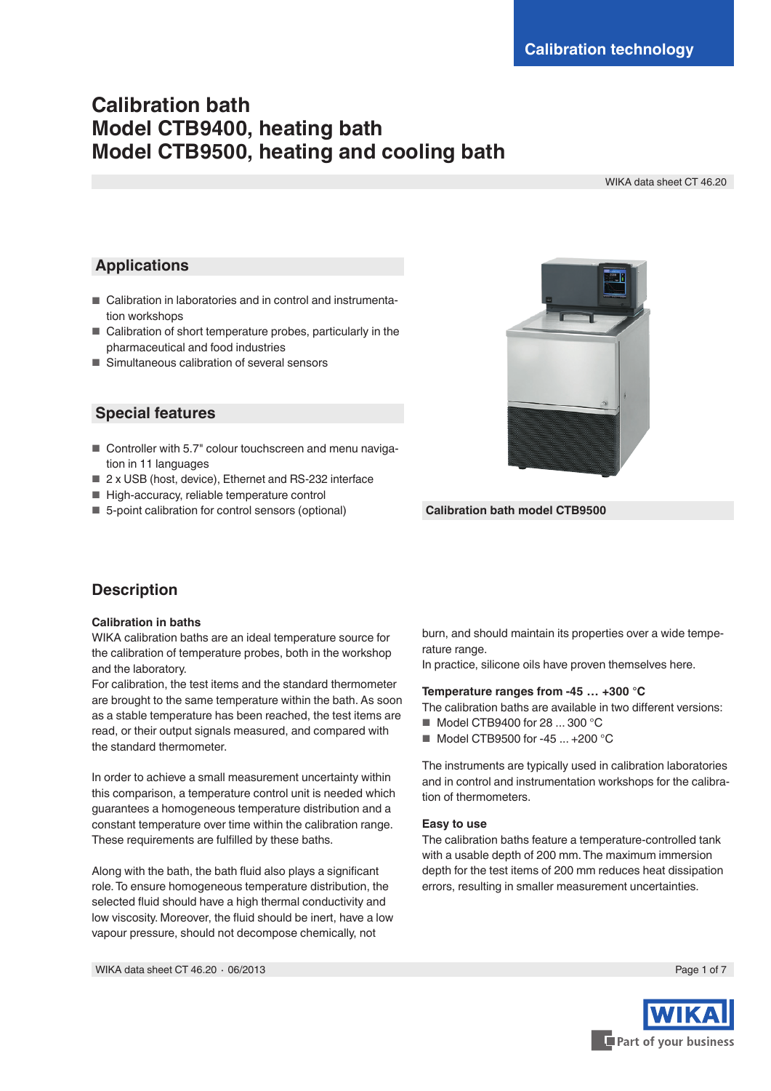# **Calibration bath Model CTB9400, heating bath Model CTB9500, heating and cooling bath**

WIKA data sheet CT 46.20

### **Applications**

- Calibration in laboratories and in control and instrumentation workshops
- Calibration of short temperature probes, particularly in the pharmaceutical and food industries
- Simultaneous calibration of several sensors

### **Special features**

- Controller with 5.7" colour touchscreen and menu navigation in 11 languages
- 2 x USB (host, device), Ethernet and RS-232 interface
- High-accuracy, reliable temperature control
- 5-point calibration for control sensors (optional)



**Calibration bath model CTB9500**

### **Description**

#### **Calibration in baths**

WIKA calibration baths are an ideal temperature source for the calibration of temperature probes, both in the workshop and the laboratory.

For calibration, the test items and the standard thermometer are brought to the same temperature within the bath. As soon as a stable temperature has been reached, the test items are read, or their output signals measured, and compared with the standard thermometer.

In order to achieve a small measurement uncertainty within this comparison, a temperature control unit is needed which guarantees a homogeneous temperature distribution and a constant temperature over time within the calibration range. These requirements are fulfilled by these baths.

Along with the bath, the bath fluid also plays a significant role. To ensure homogeneous temperature distribution, the selected fluid should have a high thermal conductivity and low viscosity. Moreover, the fluid should be inert, have a low vapour pressure, should not decompose chemically, not

burn, and should maintain its properties over a wide temperature range.

In practice, silicone oils have proven themselves here.

#### **Temperature ranges from -45 … +300 °C**

The calibration baths are available in two different versions: ■ Model CTB9400 for 28 ... 300 °C

■ Model CTB9500 for -45 ... +200 °C

The instruments are typically used in calibration laboratories and in control and instrumentation workshops for the calibra-

tion of thermometers.

#### **Easy to use**

The calibration baths feature a temperature-controlled tank with a usable depth of 200 mm. The maximum immersion depth for the test items of 200 mm reduces heat dissipation errors, resulting in smaller measurement uncertainties.

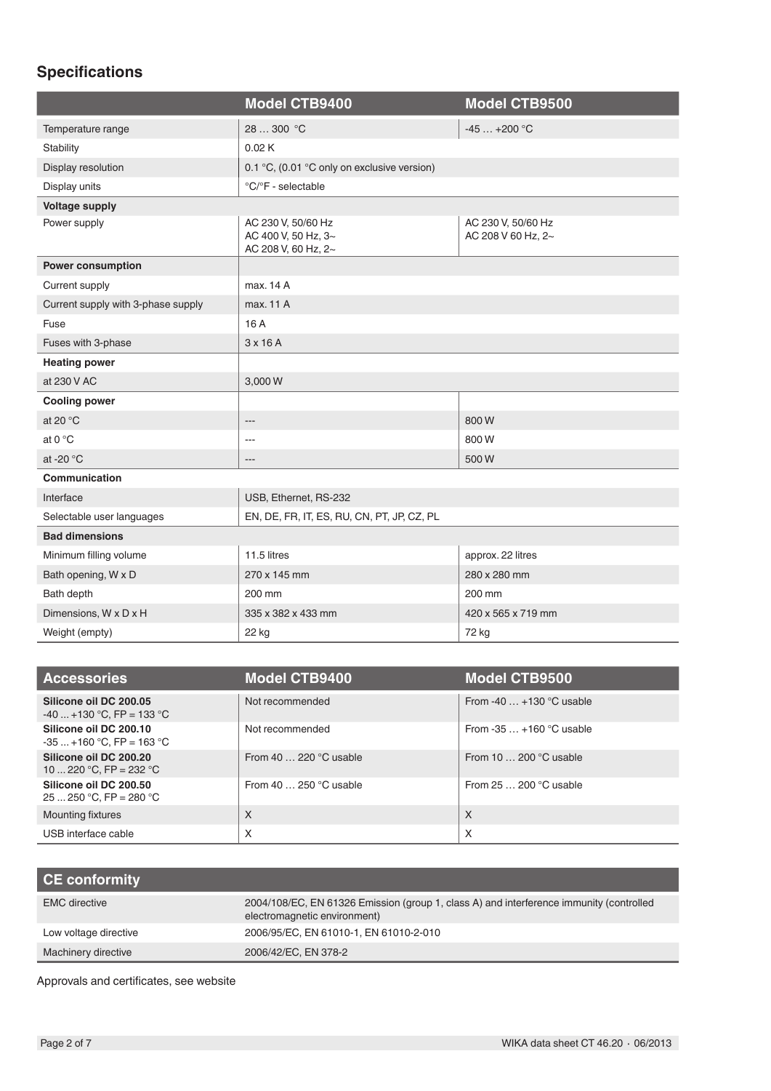# **Specifications**

|                                    | <b>Model CTB9400</b>                                             | <b>Model CTB9500</b>                     |
|------------------------------------|------------------------------------------------------------------|------------------------------------------|
| Temperature range                  | 28  300 °C                                                       | $-45+200$ °C                             |
| Stability                          | 0.02K                                                            |                                          |
| Display resolution                 | 0.1 °C, (0.01 °C only on exclusive version)                      |                                          |
| Display units                      | °C/°F - selectable                                               |                                          |
| <b>Voltage supply</b>              |                                                                  |                                          |
| Power supply                       | AC 230 V, 50/60 Hz<br>AC 400 V, 50 Hz, 3~<br>AC 208 V, 60 Hz, 2~ | AC 230 V, 50/60 Hz<br>AC 208 V 60 Hz, 2~ |
| <b>Power consumption</b>           |                                                                  |                                          |
| Current supply                     | max. 14 A                                                        |                                          |
| Current supply with 3-phase supply | max. 11 A                                                        |                                          |
| Fuse                               | 16 A                                                             |                                          |
| Fuses with 3-phase                 | 3x16A                                                            |                                          |
| <b>Heating power</b>               |                                                                  |                                          |
| at 230 V AC                        | 3,000 W                                                          |                                          |
| <b>Cooling power</b>               |                                                                  |                                          |
| at 20 $^{\circ}$ C                 | $---$                                                            | 800W                                     |
| at $0^{\circ}$ C                   | ---                                                              | 800W                                     |
| at -20 °C                          |                                                                  | 500W                                     |
| Communication                      |                                                                  |                                          |
| Interface                          | USB, Ethernet, RS-232                                            |                                          |
| Selectable user languages          | EN, DE, FR, IT, ES, RU, CN, PT, JP, CZ, PL                       |                                          |
| <b>Bad dimensions</b>              |                                                                  |                                          |
| Minimum filling volume             | 11.5 litres                                                      | approx. 22 litres                        |
| Bath opening, W x D                | 270 x 145 mm                                                     | 280 x 280 mm                             |
| Bath depth                         | 200 mm                                                           | 200 mm                                   |
| Dimensions, W x D x H              | 335 x 382 x 433 mm                                               | 420 x 565 x 719 mm                       |
| Weight (empty)                     | 22 kg                                                            | 72 kg                                    |

| <b>Accessories</b>                                  | <b>Model CTB9400</b>          | <b>Model CTB9500</b>            |
|-----------------------------------------------------|-------------------------------|---------------------------------|
| Silicone oil DC 200.05<br>$-40+130$ °C, FP = 133 °C | Not recommended               | From -40 $\dots$ +130 °C usable |
| Silicone oil DC 200.10<br>$-35+160$ °C, FP = 163 °C | Not recommended               | From $-35+160$ °C usable        |
| Silicone oil DC 200.20<br>10  220 °C, FP = 232 °C   | From 40 $\dots$ 220 °C usable | From 10 $\dots$ 200 °C usable   |
| Silicone oil DC 200.50<br>25  250 °C, FP = 280 °C   | From 40 $\dots$ 250 °C usable | From $25200$ °C usable          |
| Mounting fixtures                                   | X                             | $\times$                        |
| USB interface cable                                 | X                             | X                               |

| CE conformity         |                                                                                                                         |
|-----------------------|-------------------------------------------------------------------------------------------------------------------------|
| <b>EMC</b> directive  | 2004/108/EC, EN 61326 Emission (group 1, class A) and interference immunity (controlled<br>electromagnetic environment) |
| Low voltage directive | 2006/95/EC, EN 61010-1, EN 61010-2-010                                                                                  |
| Machinery directive   | 2006/42/EC, EN 378-2                                                                                                    |

Approvals and certificates, see website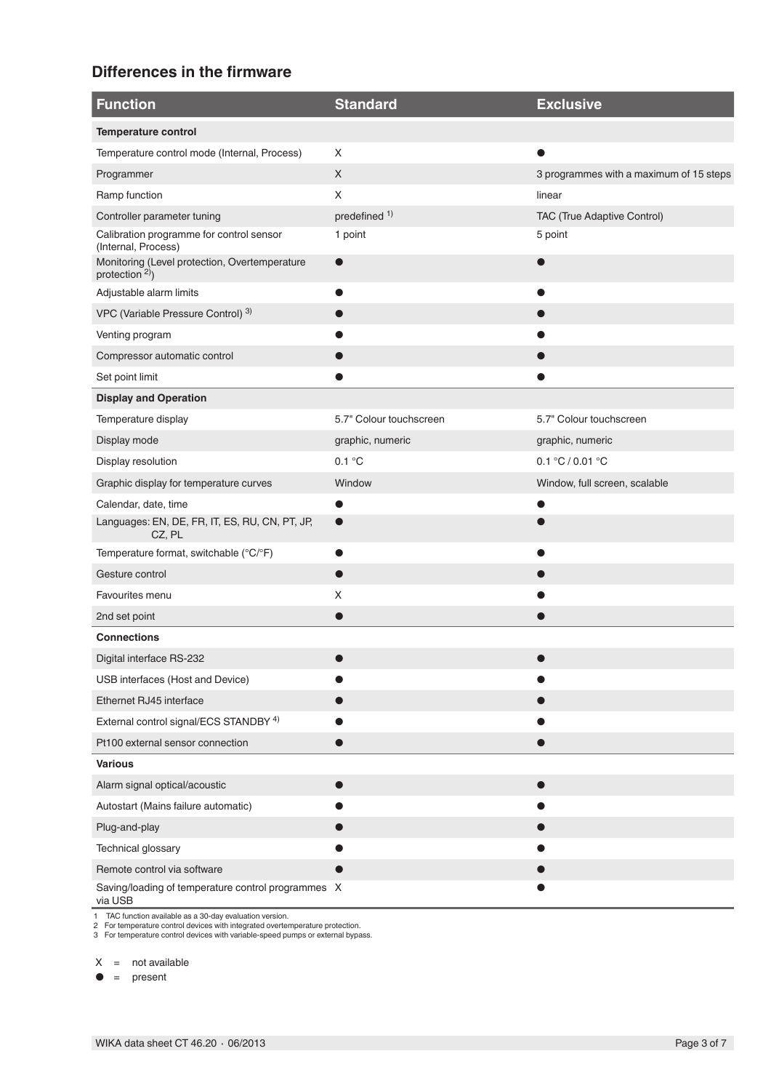# **Differences in the firmware**

| <b>Function</b>                                                  | <b>Standard</b>          | <b>Exclusive</b>                        |
|------------------------------------------------------------------|--------------------------|-----------------------------------------|
| <b>Temperature control</b>                                       |                          |                                         |
| Temperature control mode (Internal, Process)                     | X                        |                                         |
| Programmer                                                       | X                        | 3 programmes with a maximum of 15 steps |
| Ramp function                                                    | X                        | linear                                  |
| Controller parameter tuning                                      | predefined <sup>1)</sup> | TAC (True Adaptive Control)             |
| Calibration programme for control sensor<br>(Internal, Process)  | 1 point                  | 5 point                                 |
| Monitoring (Level protection, Overtemperature<br>protection $2)$ | $\bullet$                |                                         |
| Adjustable alarm limits                                          |                          |                                         |
| VPC (Variable Pressure Control) 3)                               |                          |                                         |
| Venting program                                                  |                          |                                         |
| Compressor automatic control                                     |                          |                                         |
| Set point limit                                                  |                          |                                         |
| <b>Display and Operation</b>                                     |                          |                                         |
| Temperature display                                              | 5.7" Colour touchscreen  | 5.7" Colour touchscreen                 |
| Display mode                                                     | graphic, numeric         | graphic, numeric                        |
| Display resolution                                               | 0.1 °C                   | 0.1 °C / 0.01 °C                        |
| Graphic display for temperature curves                           | Window                   | Window, full screen, scalable           |
| Calendar, date, time                                             |                          |                                         |
| Languages: EN, DE, FR, IT, ES, RU, CN, PT, JP,<br>CZ, PL         |                          |                                         |
| Temperature format, switchable (°C/°F)                           |                          |                                         |
| Gesture control                                                  |                          |                                         |
| Favourites menu                                                  | X                        |                                         |
| 2nd set point                                                    |                          |                                         |
| <b>Connections</b>                                               |                          |                                         |
| Digital interface RS-232                                         |                          |                                         |
| USB interfaces (Host and Device)                                 |                          |                                         |
| Ethernet RJ45 interface                                          |                          |                                         |
| External control signal/ECS STANDBY <sup>4)</sup>                |                          |                                         |
| Pt100 external sensor connection                                 |                          |                                         |
| <b>Various</b>                                                   |                          |                                         |
| Alarm signal optical/acoustic                                    |                          |                                         |
| Autostart (Mains failure automatic)                              |                          |                                         |
| Plug-and-play                                                    |                          |                                         |
| Technical glossary                                               |                          |                                         |
| Remote control via software                                      |                          |                                         |
| Saving/loading of temperature control programmes X<br>via USB    |                          |                                         |

1 TAC function available as a 30-day evaluation version. 2 For temperature control devices with integrated overtemperature protection. 3 For temperature control devices with variable-speed pumps or external bypass.

 $X = not available$ 

 $\bullet$  = present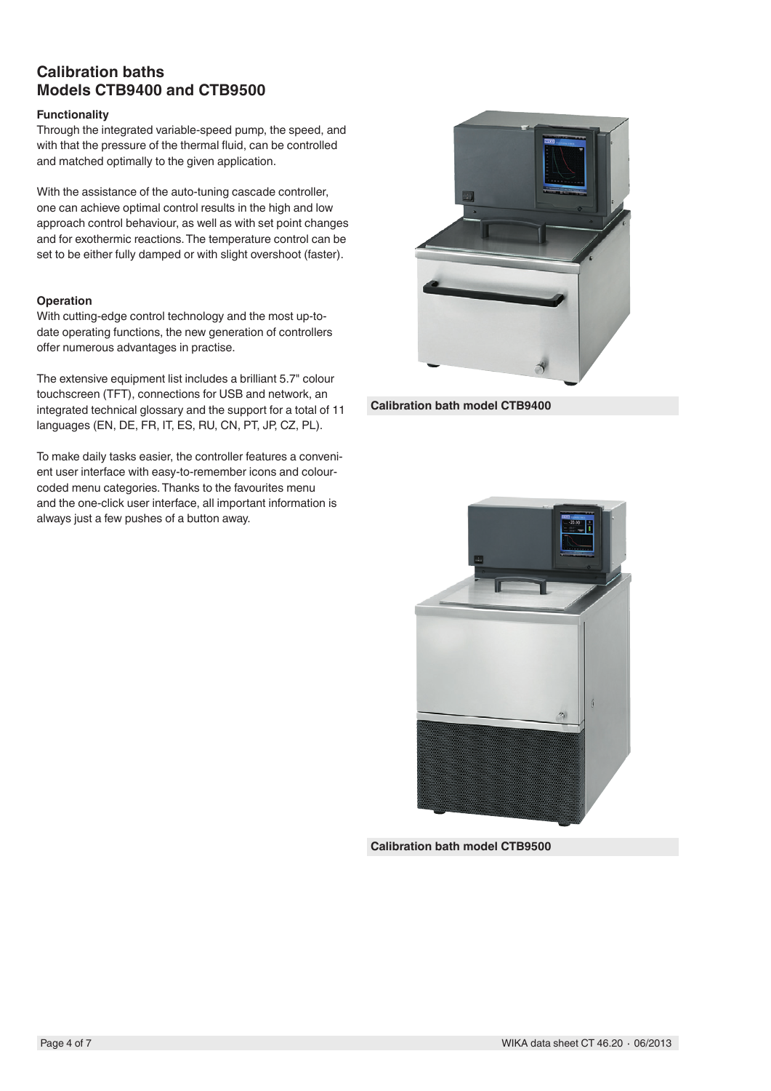### **Calibration baths Models CTB9400 and CTB9500**

#### **Functionality**

Through the integrated variable-speed pump, the speed, and with that the pressure of the thermal fluid, can be controlled and matched optimally to the given application.

With the assistance of the auto-tuning cascade controller, one can achieve optimal control results in the high and low approach control behaviour, as well as with set point changes and for exothermic reactions. The temperature control can be set to be either fully damped or with slight overshoot (faster).

#### **Operation**

With cutting-edge control technology and the most up-todate operating functions, the new generation of controllers offer numerous advantages in practise.

The extensive equipment list includes a brilliant 5.7" colour touchscreen (TFT), connections for USB and network, an integrated technical glossary and the support for a total of 11 languages (EN, DE, FR, IT, ES, RU, CN, PT, JP, CZ, PL).

To make daily tasks easier, the controller features a convenient user interface with easy-to-remember icons and colourcoded menu categories. Thanks to the favourites menu and the one-click user interface, all important information is always just a few pushes of a button away.



**Calibration bath model CTB9400**



**Calibration bath model CTB9500**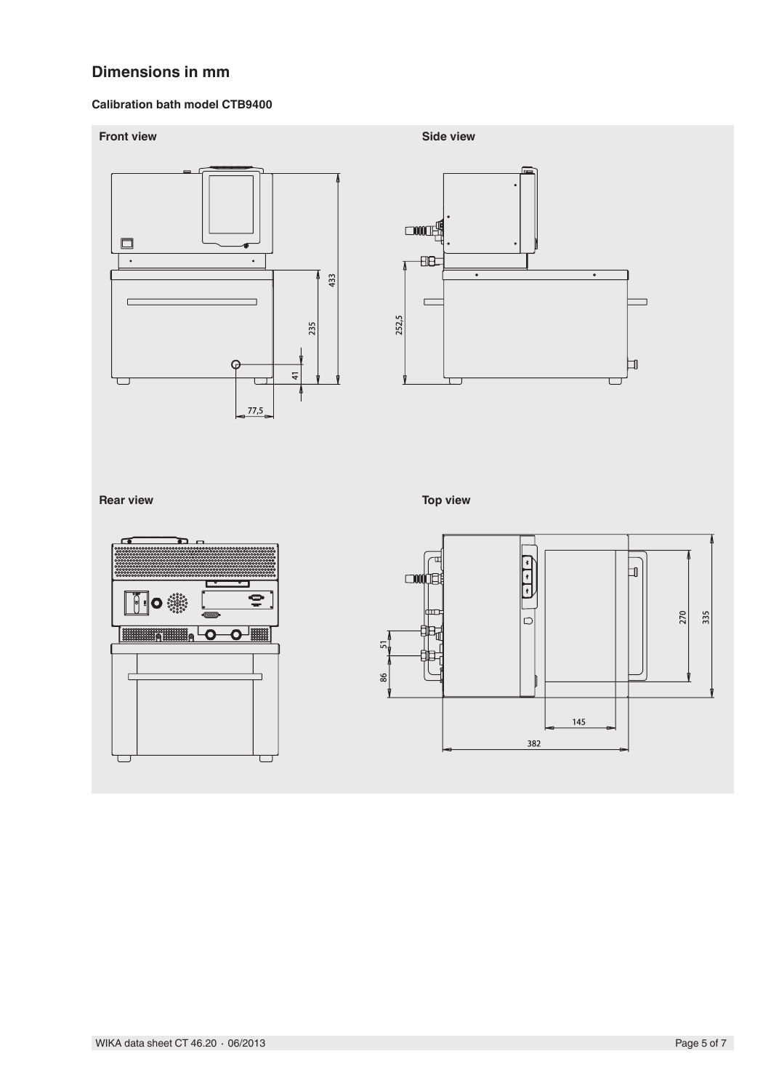# **Dimensions in mm**

### **Calibration bath model CTB9400**



145

382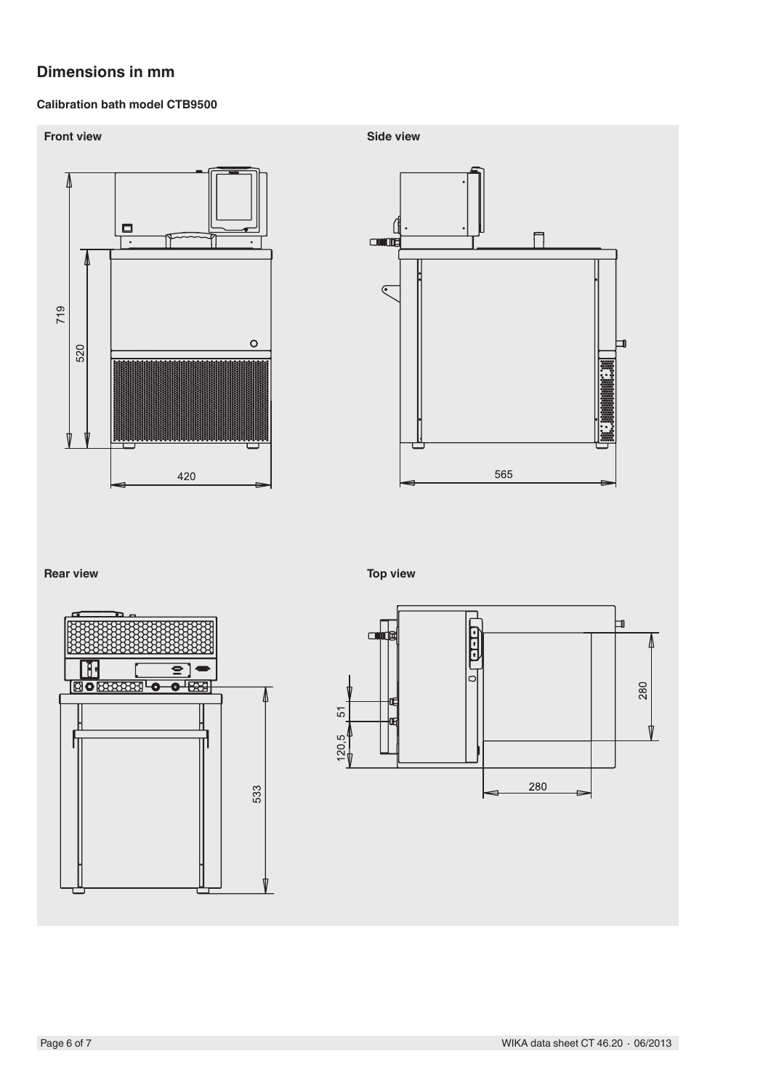# **Dimensions in mm**

### **Calibration bath model CTB9500**